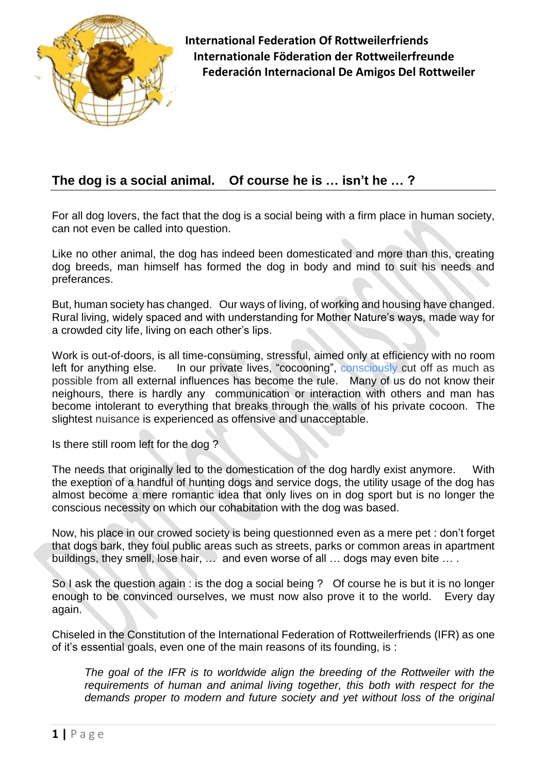

# **The dog is a social animal. Of course he is … isn't he … ?**

For all dog lovers, the fact that the dog is a social being with a firm place in human society, can not even be called into question.

Like no other animal, the dog has indeed been domesticated and more than this, creating dog breeds, man himself has formed the dog in body and mind to suit his needs and preferances.

But, human society has changed. Our ways of living, of working and housing have changed. Rural living, widely spaced and with understanding for Mother Nature's ways, made way for a crowded city life, living on each other's lips.

Work is out-of-doors, is all time-consuming, stressful, aimed only at efficiency with no room left for anything else. In our private lives, "cocooning", consciously cut off as much as possible from all external influences has become the rule. Many of us do not know their neighours, there is hardly any communication or interaction with others and man has become intolerant to everything that breaks through the walls of his private cocoon. The slightest nuisance is experienced as offensive and unacceptable.

Is there still room left for the dog ?

The needs that originally led to the domestication of the dog hardly exist anymore. With the exeption of a handful of hunting dogs and service dogs, the utility usage of the dog has almost become a mere romantic idea that only lives on in dog sport but is no longer the conscious necessity on which our cohabitation with the dog was based.

Now, his place in our crowed society is being questionned even as a mere pet : don't forget that dogs bark, they foul public areas such as streets, parks or common areas in apartment buildings, they smell, lose hair, … and even worse of all … dogs may even bite … .

So I ask the question again : is the dog a social being ? Of course he is but it is no longer enough to be convinced ourselves, we must now also prove it to the world. Every day again.

Chiseled in the Constitution of the International Federation of Rottweilerfriends (IFR) as one of it's essential goals, even one of the main reasons of its founding, is :

*The goal of the IFR is to worldwide align the breeding of the Rottweiler with the requirements of human and animal living together, this both with respect for the*  demands proper to modern and future society and yet without loss of the original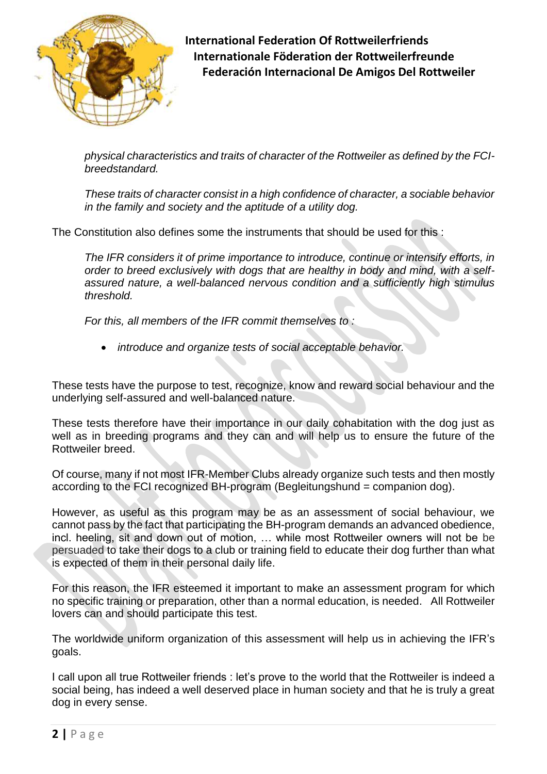

*physical characteristics and traits of character of the Rottweiler as defined by the FCIbreedstandard.* 

*These traits of character consist in a high confidence of character, a sociable behavior in the family and society and the aptitude of a utility dog.*

The Constitution also defines some the instruments that should be used for this :

*The IFR considers it of prime importance to introduce, continue or intensify efforts, in order to breed exclusively with dogs that are healthy in body and mind, with a selfassured nature, a well-balanced nervous condition and a sufficiently high stimulus threshold.* 

*For this, all members of the IFR commit themselves to :*

*introduce and organize tests of social acceptable behavior.*

These tests have the purpose to test, recognize, know and reward social behaviour and the underlying self-assured and well-balanced nature.

These tests therefore have their importance in our daily cohabitation with the dog just as well as in breeding programs and they can and will help us to ensure the future of the Rottweiler breed.

Of course, many if not most IFR-Member Clubs already organize such tests and then mostly according to the FCI recognized BH-program (Begleitungshund = companion dog).

However, as useful as this program may be as an assessment of social behaviour, we cannot pass by the fact that participating the BH-program demands an advanced obedience, incl. heeling, sit and down out of motion, … while most Rottweiler owners will not be be persuaded to take their dogs to a club or training field to educate their dog further than what is expected of them in their personal daily life.

For this reason, the IFR esteemed it important to make an assessment program for which no specific training or preparation, other than a normal education, is needed. All Rottweiler lovers can and should participate this test.

The worldwide uniform organization of this assessment will help us in achieving the IFR's goals.

I call upon all true Rottweiler friends : let's prove to the world that the Rottweiler is indeed a social being, has indeed a well deserved place in human society and that he is truly a great dog in every sense.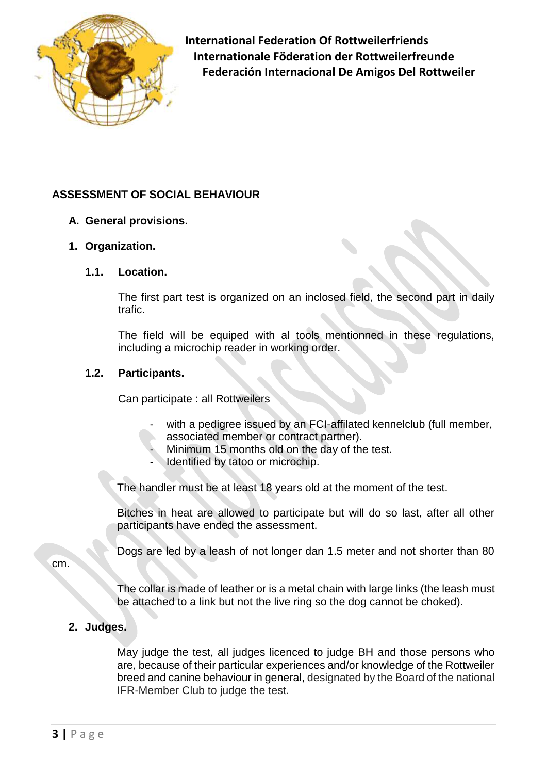

# **ASSESSMENT OF SOCIAL BEHAVIOUR**

#### **A. General provisions.**

## **1. Organization.**

#### **1.1. Location.**

The first part test is organized on an inclosed field, the second part in daily trafic.

The field will be equiped with al tools mentionned in these regulations, including a microchip reader in working order.

## **1.2. Participants.**

Can participate : all Rottweilers

- with a pedigree issued by an FCI-affilated kennelclub (full member, associated member or contract partner).
- Minimum 15 months old on the day of the test.
- Identified by tatoo or microchip.

The handler must be at least 18 years old at the moment of the test.

Bitches in heat are allowed to participate but will do so last, after all other participants have ended the assessment.

Dogs are led by a leash of not longer dan 1.5 meter and not shorter than 80

cm.

The collar is made of leather or is a metal chain with large links (the leash must be attached to a link but not the live ring so the dog cannot be choked).

# **2. Judges.**

May judge the test, all judges licenced to judge BH and those persons who are, because of their particular experiences and/or knowledge of the Rottweiler breed and canine behaviour in general, designated by the Board of the national IFR-Member Club to judge the test.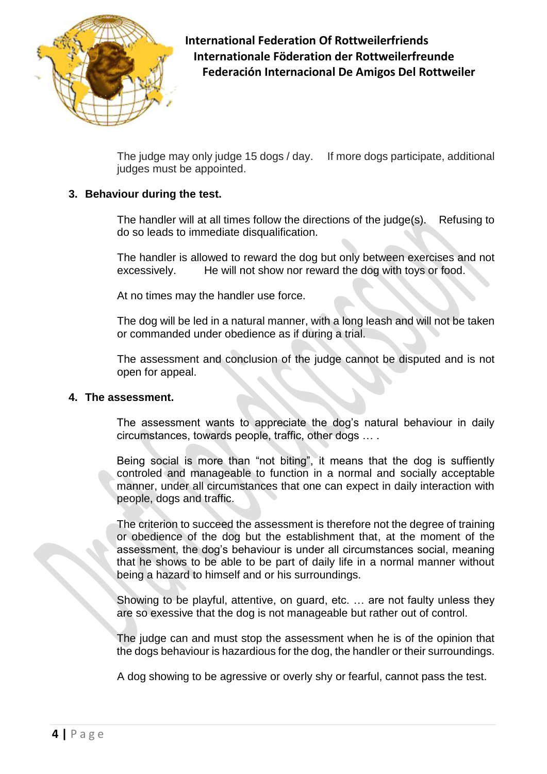

The judge may only judge 15 dogs / day. If more dogs participate, additional judges must be appointed.

# **3. Behaviour during the test.**

The handler will at all times follow the directions of the judge(s). Refusing to do so leads to immediate disqualification.

The handler is allowed to reward the dog but only between exercises and not excessively. He will not show nor reward the dog with toys or food.

At no times may the handler use force.

The dog will be led in a natural manner, with a long leash and will not be taken or commanded under obedience as if during a trial.

The assessment and conclusion of the judge cannot be disputed and is not open for appeal.

# **4. The assessment.**

The assessment wants to appreciate the dog's natural behaviour in daily circumstances, towards people, traffic, other dogs … .

Being social is more than "not biting", it means that the dog is suffiently controled and manageable to function in a normal and socially acceptable manner, under all circumstances that one can expect in daily interaction with people, dogs and traffic.

The criterion to succeed the assessment is therefore not the degree of training or obedience of the dog but the establishment that, at the moment of the assessment, the dog's behaviour is under all circumstances social, meaning that he shows to be able to be part of daily life in a normal manner without being a hazard to himself and or his surroundings.

Showing to be playful, attentive, on guard, etc. … are not faulty unless they are so exessive that the dog is not manageable but rather out of control.

The judge can and must stop the assessment when he is of the opinion that the dogs behaviour is hazardious for the dog, the handler or their surroundings.

A dog showing to be agressive or overly shy or fearful, cannot pass the test.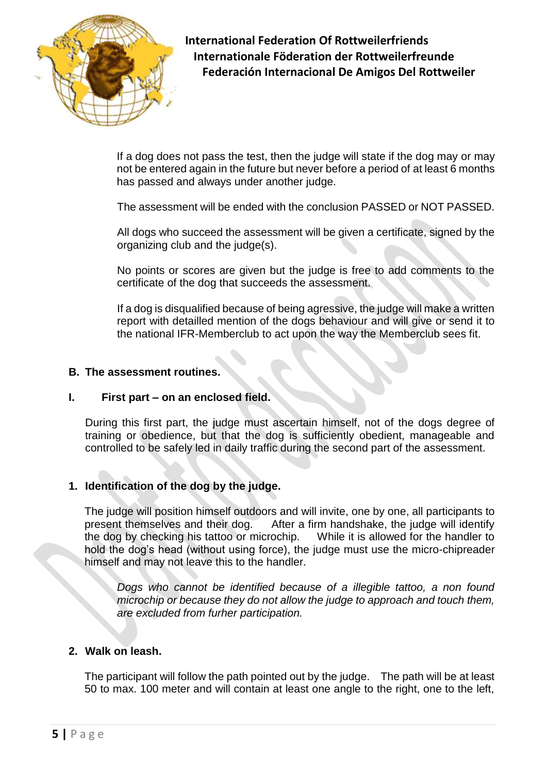

If a dog does not pass the test, then the judge will state if the dog may or may not be entered again in the future but never before a period of at least 6 months has passed and always under another judge.

The assessment will be ended with the conclusion PASSED or NOT PASSED.

All dogs who succeed the assessment will be given a certificate, signed by the organizing club and the judge(s).

No points or scores are given but the judge is free to add comments to the certificate of the dog that succeeds the assessment.

If a dog is disqualified because of being agressive, the judge will make a written report with detailled mention of the dogs behaviour and will give or send it to the national IFR-Memberclub to act upon the way the Memberclub sees fit.

## **B. The assessment routines.**

## **I. First part – on an enclosed field.**

During this first part, the judge must ascertain himself, not of the dogs degree of training or obedience, but that the dog is sufficiently obedient, manageable and controlled to be safely led in daily traffic during the second part of the assessment.

## **1. Identification of the dog by the judge.**

The judge will position himself outdoors and will invite, one by one, all participants to present themselves and their dog. After a firm handshake, the judge will identify the dog by checking his tattoo or microchip. While it is allowed for the handler to hold the dog's head (without using force), the judge must use the micro-chipreader himself and may not leave this to the handler.

*Dogs who cannot be identified because of a illegible tattoo, a non found microchip or because they do not allow the judge to approach and touch them, are excluded from furher participation.*

# **2. Walk on leash.**

The participant will follow the path pointed out by the judge. The path will be at least 50 to max. 100 meter and will contain at least one angle to the right, one to the left,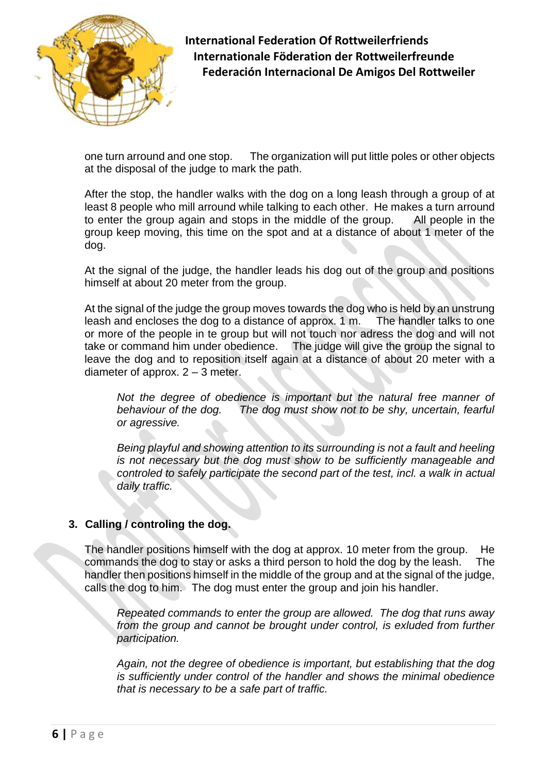

one turn arround and one stop. The organization will put little poles or other objects at the disposal of the judge to mark the path.

After the stop, the handler walks with the dog on a long leash through a group of at least 8 people who mill arround while talking to each other. He makes a turn arround to enter the group again and stops in the middle of the group. All people in the group keep moving, this time on the spot and at a distance of about 1 meter of the dog.

At the signal of the judge, the handler leads his dog out of the group and positions himself at about 20 meter from the group.

At the signal of the judge the group moves towards the dog who is held by an unstrung leash and encloses the dog to a distance of approx. 1 m. The handler talks to one or more of the people in te group but will not touch nor adress the dog and will not take or command him under obedience. The judge will give the group the signal to leave the dog and to reposition itself again at a distance of about 20 meter with a diameter of approx. 2 – 3 meter.

*Not the degree of obedience is important but the natural free manner of behaviour of the dog. The dog must show not to be shy, uncertain, fearful or agressive.* 

*Being playful and showing attention to its surrounding is not a fault and heeling is not necessary but the dog must show to be sufficiently manageable and controled to safely participate the second part of the test, incl. a walk in actual daily traffic.* 

## **3. Calling / controling the dog.**

The handler positions himself with the dog at approx. 10 meter from the group. He commands the dog to stay or asks a third person to hold the dog by the leash. The handler then positions himself in the middle of the group and at the signal of the judge, calls the dog to him. The dog must enter the group and join his handler.

*Repeated commands to enter the group are allowed. The dog that runs away*  from the group and cannot be brought under control, is exluded from further *participation.* 

*Again, not the degree of obedience is important, but establishing that the dog is sufficiently under control of the handler and shows the minimal obedience that is necessary to be a safe part of traffic.*